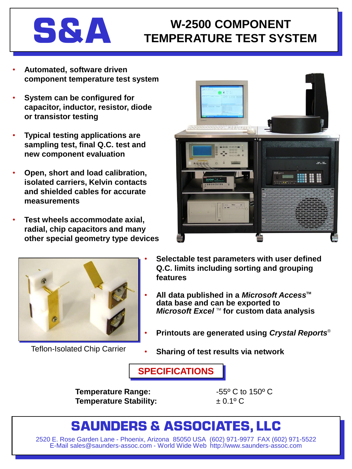# **S&A W-2500 COMPONENT TEMPERATURE TEST SYSTEM**

- **Automated, software driven component temperature test system**
- **System can be configured for capacitor, inductor, resistor, diode or transistor testing**
- **Typical testing applications are sampling test, final Q.C. test and new component evaluation**
- **Open, short and load calibration, isolated carriers, Kelvin contacts and shielded cables for accurate measurements**
- **Test wheels accommodate axial, radial, chip capacitors and many other special geometry type devices**





- **Selectable test parameters with user defined Q.C. limits including sorting and grouping features**
- **All data published in a** *Microsoft Access***TM data base and can be exported to** *Microsoft Excel* ™ for custom data analysis
- **Printouts are generated using** *Crystal Reports*®
- Teflon-Isolated Chip Carrier **6. Sharing of test results via network**

**SPECIFICATIONS**

**Temperature Range:**  $-55^{\circ}$  C to 150° C **Temperature Stability:** ± 0.1º C

## **SAUNDERS & ASSOCIATES, LLC**

2520 E. Rose Garden Lane - Phoenix, Arizona 85050 USA (602) 971-9977 FAX (602) 971-5522 E-Mail sales@saunders-assoc.com - World Wide Web http://www.saunders-assoc.com